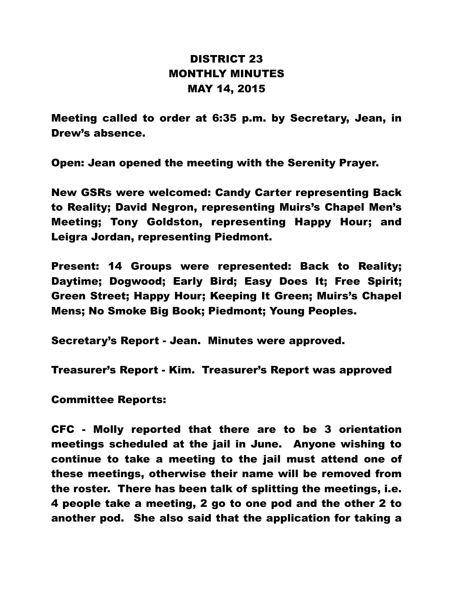## DISTRICT 23 MONTHLY MINUTES MAY 14, 2015

Meeting called to order at 6:35 p.m. by Secretary, Jean, in Drew's absence.

Open: Jean opened the meeting with the Serenity Prayer.

New GSRs were welcomed: Candy Carter representing Back to Reality; David Negron, representing Muirs's Chapel Men's Meeting; Tony Goldston, representing Happy Hour; and Leigra Jordan, representing Piedmont.

Present: 14 Groups were represented: Back to Reality; Daytime; Dogwood; Early Bird; Easy Does It; Free Spirit; Green Street; Happy Hour; Keeping It Green; Muirs's Chapel Mens; No Smoke Big Book; Piedmont; Young Peoples.

Secretary's Report - Jean. Minutes were approved.

Treasurer's Report - Kim. Treasurer's Report was approved

Committee Reports:

CFC - Molly reported that there are to be 3 orientation meetings scheduled at the jail in June. Anyone wishing to continue to take a meeting to the jail must attend one of these meetings, otherwise their name will be removed from the roster. There has been talk of splitting the meetings, i.e. 4 people take a meeting, 2 go to one pod and the other 2 to another pod. She also said that the application for taking a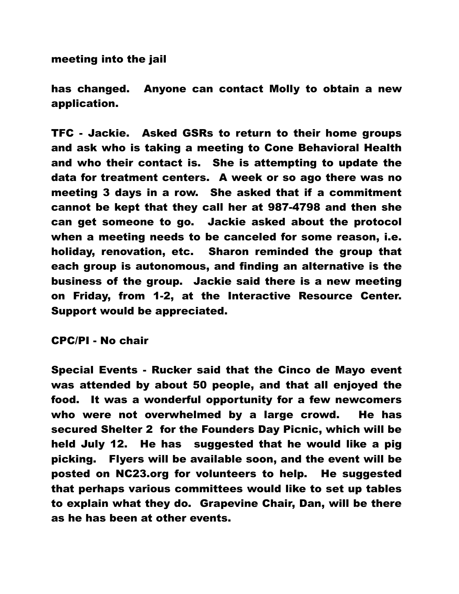meeting into the jail

has changed. Anyone can contact Molly to obtain a new application.

TFC - Jackie. Asked GSRs to return to their home groups and ask who is taking a meeting to Cone Behavioral Health and who their contact is. She is attempting to update the data for treatment centers. A week or so ago there was no meeting 3 days in a row. She asked that if a commitment cannot be kept that they call her at 987-4798 and then she can get someone to go. Jackie asked about the protocol when a meeting needs to be canceled for some reason, i.e. holiday, renovation, etc. Sharon reminded the group that each group is autonomous, and finding an alternative is the business of the group. Jackie said there is a new meeting on Friday, from 1-2, at the Interactive Resource Center. Support would be appreciated.

CPC/PI - No chair

Special Events - Rucker said that the Cinco de Mayo event was attended by about 50 people, and that all enjoyed the food. It was a wonderful opportunity for a few newcomers who were not overwhelmed by a large crowd. He has secured Shelter 2 for the Founders Day Picnic, which will be held July 12. He has suggested that he would like a pig picking. Flyers will be available soon, and the event will be posted on NC23.org for volunteers to help. He suggested that perhaps various committees would like to set up tables to explain what they do. Grapevine Chair, Dan, will be there as he has been at other events.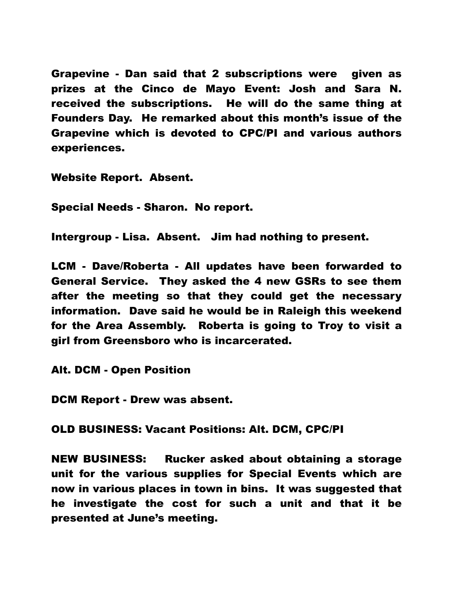Grapevine - Dan said that 2 subscriptions were given as prizes at the Cinco de Mayo Event: Josh and Sara N. received the subscriptions. He will do the same thing at Founders Day. He remarked about this month's issue of the Grapevine which is devoted to CPC/PI and various authors experiences.

Website Report. Absent.

Special Needs - Sharon. No report.

Intergroup - Lisa. Absent. Jim had nothing to present.

LCM - Dave/Roberta - All updates have been forwarded to General Service. They asked the 4 new GSRs to see them after the meeting so that they could get the necessary information. Dave said he would be in Raleigh this weekend for the Area Assembly. Roberta is going to Troy to visit a girl from Greensboro who is incarcerated.

Alt. DCM - Open Position

DCM Report - Drew was absent.

OLD BUSINESS: Vacant Positions: Alt. DCM, CPC/PI

NEW BUSINESS: Rucker asked about obtaining a storage unit for the various supplies for Special Events which are now in various places in town in bins. It was suggested that he investigate the cost for such a unit and that it be presented at June's meeting.